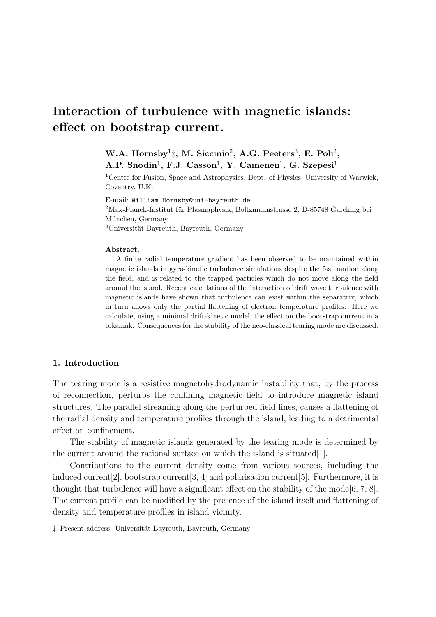# Interaction of turbulence with magnetic islands: effect on bootstrap current.

# W.A. Hornsby<sup>1</sup><sup>†</sup>, M. Siccinio<sup>2</sup>, A.G. Peeters<sup>3</sup>, E. Poli<sup>2</sup>,

A.P. Snodin<sup>1</sup>, F.J. Casson<sup>1</sup>, Y. Camenen<sup>1</sup>, G. Szepesi<sup>1</sup>

<sup>1</sup>Centre for Fusion, Space and Astrophysics, Dept. of Physics, University of Warwick, Coventry, U.K.

E-mail: William.Hornsby@uni-bayreuth.de

 $2$ Max-Planck-Institut für Plasmaphysik, Boltzmannstrasse 2, D-85748 Garching bei München, Germany  $3$ Universität Bayreuth, Bayreuth, Germany

#### Abstract.

A finite radial temperature gradient has been observed to be maintained within magnetic islands in gyro-kinetic turbulence simulations despite the fast motion along the field, and is related to the trapped particles which do not move along the field around the island. Recent calculations of the interaction of drift wave turbulence with magnetic islands have shown that turbulence can exist within the separatrix, which in turn allows only the partial flattening of electron temperature profiles. Here we calculate, using a minimal drift-kinetic model, the effect on the bootstrap current in a tokamak. Consequences for the stability of the neo-classical tearing mode are discussed.

## 1. Introduction

The tearing mode is a resistive magnetohydrodynamic instability that, by the process of reconnection, perturbs the confining magnetic field to introduce magnetic island structures. The parallel streaming along the perturbed field lines, causes a flattening of the radial density and temperature profiles through the island, leading to a detrimental effect on confinement.

The stability of magnetic islands generated by the tearing mode is determined by the current around the rational surface on which the island is situated [1].

Contributions to the current density come from various sources, including the induced current [2], bootstrap current [3, 4] and polarisation current [5]. Furthermore, it is thought that turbulence will have a significant effect on the stability of the mode  $[6, 7, 8]$ . The current profile can be modified by the presence of the island itself and flattening of density and temperature profiles in island vicinity.

 $\ddagger$  Present address: Universität Bayreuth, Bayreuth, Germany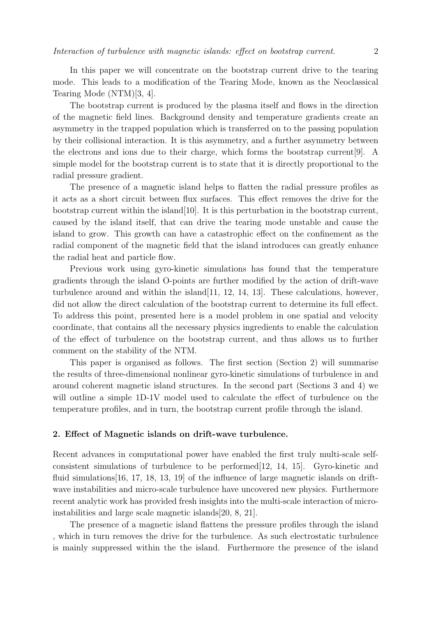In this paper we will concentrate on the bootstrap current drive to the tearing mode. This leads to a modification of the Tearing Mode, known as the Neoclassical Tearing Mode (NTM)[3, 4].

The bootstrap current is produced by the plasma itself and flows in the direction of the magnetic field lines. Background density and temperature gradients create an asymmetry in the trapped population which is transferred on to the passing population by their collisional interaction. It is this asymmetry, and a further asymmetry between the electrons and ions due to their charge, which forms the bootstrap current[9]. A simple model for the bootstrap current is to state that it is directly proportional to the radial pressure gradient.

The presence of a magnetic island helps to flatten the radial pressure profiles as it acts as a short circuit between flux surfaces. This effect removes the drive for the bootstrap current within the island[10]. It is this perturbation in the bootstrap current, caused by the island itself, that can drive the tearing mode unstable and cause the island to grow. This growth can have a catastrophic effect on the confinement as the radial component of the magnetic field that the island introduces can greatly enhance the radial heat and particle flow.

Previous work using gyro-kinetic simulations has found that the temperature gradients through the island O-points are further modified by the action of drift-wave turbulence around and within the island[11, 12, 14, 13]. These calculations, however, did not allow the direct calculation of the bootstrap current to determine its full effect. To address this point, presented here is a model problem in one spatial and velocity coordinate, that contains all the necessary physics ingredients to enable the calculation of the effect of turbulence on the bootstrap current, and thus allows us to further comment on the stability of the NTM.

This paper is organised as follows. The first section (Section 2) will summarise the results of three-dimensional nonlinear gyro-kinetic simulations of turbulence in and around coherent magnetic island structures. In the second part (Sections 3 and 4) we will outline a simple 1D-1V model used to calculate the effect of turbulence on the temperature profiles, and in turn, the bootstrap current profile through the island.

### 2. Effect of Magnetic islands on drift-wave turbulence.

Recent advances in computational power have enabled the first truly multi-scale selfconsistent simulations of turbulence to be performed[12, 14, 15]. Gyro-kinetic and fluid simulations [16, 17, 18, 13, 19] of the influence of large magnetic islands on driftwave instabilities and micro-scale turbulence have uncovered new physics. Furthermore recent analytic work has provided fresh insights into the multi-scale interaction of microinstabilities and large scale magnetic islands[20, 8, 21].

The presence of a magnetic island flattens the pressure profiles through the island , which in turn removes the drive for the turbulence. As such electrostatic turbulence is mainly suppressed within the the island. Furthermore the presence of the island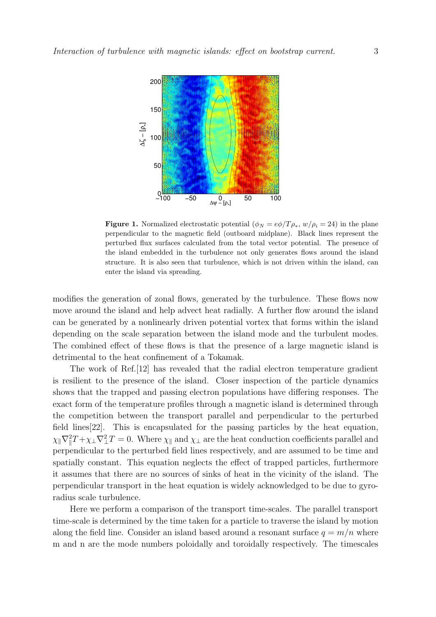

**Figure 1.** Normalized electrostatic potential  $(\phi_N = e\phi/T\rho_*, w/\rho_i = 24)$  in the plane perpendicular to the magnetic field (outboard midplane). Black lines represent the perturbed flux surfaces calculated from the total vector potential. The presence of the island embedded in the turbulence not only generates flows around the island structure. It is also seen that turbulence, which is not driven within the island, can enter the island via spreading.

modifies the generation of zonal flows, generated by the turbulence. These flows now move around the island and help advect heat radially. A further flow around the island can be generated by a nonlinearly driven potential vortex that forms within the island depending on the scale separation between the island mode and the turbulent modes. The combined effect of these flows is that the presence of a large magnetic island is detrimental to the heat confinement of a Tokamak.

The work of Ref.[12] has revealed that the radial electron temperature gradient is resilient to the presence of the island. Closer inspection of the particle dynamics shows that the trapped and passing electron populations have differing responses. The exact form of the temperature profiles through a magnetic island is determined through the competition between the transport parallel and perpendicular to the perturbed field lines[22]. This is encapsulated for the passing particles by the heat equation,  $\chi_{\parallel} \nabla_{\parallel}^2 T + \chi_{\perp} \nabla_{\perp}^2 T = 0$ . Where  $\chi_{\parallel}$  and  $\chi_{\perp}$  are the heat conduction coefficients parallel and perpendicular to the perturbed field lines respectively, and are assumed to be time and spatially constant. This equation neglects the effect of trapped particles, furthermore it assumes that there are no sources of sinks of heat in the vicinity of the island. The perpendicular transport in the heat equation is widely acknowledged to be due to gyroradius scale turbulence.

Here we perform a comparison of the transport time-scales. The parallel transport time-scale is determined by the time taken for a particle to traverse the island by motion along the field line. Consider an island based around a resonant surface  $q = m/n$  where m and n are the mode numbers poloidally and toroidally respectively. The timescales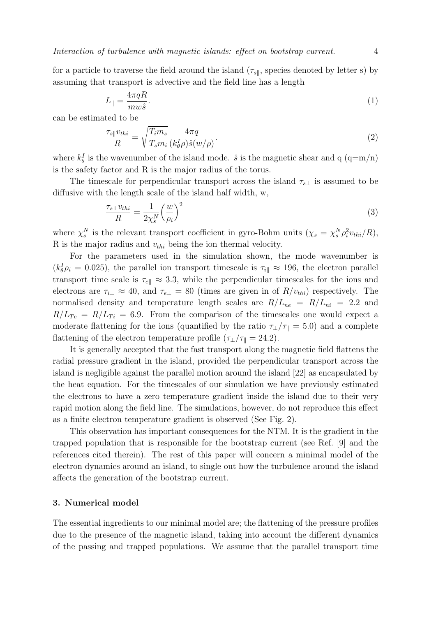Interaction of turbulence with magnetic islands: effect on bootstrap current. 4

for a particle to traverse the field around the island  $(\tau_{s\parallel},$  species denoted by letter s) by assuming that transport is advective and the field line has a length

$$
L_{\parallel} = \frac{4\pi qR}{mw\hat{s}}.\tag{1}
$$

can be estimated to be

$$
\frac{\tau_{s\parallel}v_{thi}}{R} = \sqrt{\frac{T_{i}m_{s}}{T_{s}m_{i}}}\frac{4\pi q}{(k_{\theta}^{I}\rho)\hat{s}(w/\rho)}.
$$
\n(2)

where  $k_{\theta}^{I}$  is the wavenumber of the island mode.  $\hat{s}$  is the magnetic shear and q (q=m/n) is the safety factor and R is the major radius of the torus.

The timescale for perpendicular transport across the island  $\tau_{s\perp}$  is assumed to be diffusive with the length scale of the island half width, w,

$$
\frac{\tau_{s\perp}v_{thi}}{R} = \frac{1}{2\chi_s^N} \left(\frac{w}{\rho_i}\right)^2\tag{3}
$$

where  $\chi_s^N$  is the relevant transport coefficient in gyro-Bohm units  $(\chi_s = \chi_s^N \rho_i^2 v_{thi}/R)$ , R is the major radius and  $v_{thi}$  being the ion thermal velocity.

For the parameters used in the simulation shown, the mode wavenumber is  $(k_{\theta}^{I} \rho_{i} = 0.025)$ , the parallel ion transport timescale is  $\tau_{i\parallel} \approx 196$ , the electron parallel transport time scale is  $\tau_{e\parallel} \approx 3.3$ , while the perpendicular timescales for the ions and electrons are  $\tau_{i\perp} \approx 40$ , and  $\tau_{e\perp} = 80$  (times are given in of  $R/v_{thi}$ ) respectively. The normalised density and temperature length scales are  $R/L_{ne} = R/L_{ni} = 2.2$  and  $R/L_{Te} = R/L_{Ti} = 6.9$ . From the comparison of the timescales one would expect a moderate flattening for the ions (quantified by the ratio  $\tau_{\perp}/\tau_{\parallel} = 5.0$ ) and a complete flattening of the electron temperature profile ( $\tau_{\perp}/\tau_{\parallel} = 24.2$ ).

It is generally accepted that the fast transport along the magnetic field flattens the radial pressure gradient in the island, provided the perpendicular transport across the island is negligible against the parallel motion around the island [22] as encapsulated by the heat equation. For the timescales of our simulation we have previously estimated the electrons to have a zero temperature gradient inside the island due to their very rapid motion along the field line. The simulations, however, do not reproduce this effect as a finite electron temperature gradient is observed (See Fig. 2).

This observation has important consequences for the NTM. It is the gradient in the trapped population that is responsible for the bootstrap current (see Ref. [9] and the references cited therein). The rest of this paper will concern a minimal model of the electron dynamics around an island, to single out how the turbulence around the island affects the generation of the bootstrap current.

## 3. Numerical model

The essential ingredients to our minimal model are; the flattening of the pressure profiles due to the presence of the magnetic island, taking into account the different dynamics of the passing and trapped populations. We assume that the parallel transport time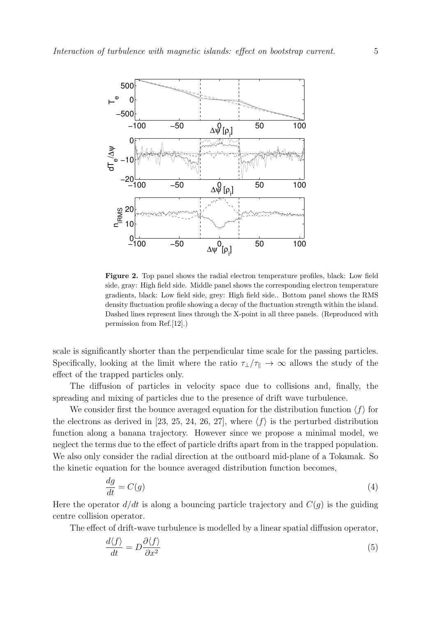

Figure 2. Top panel shows the radial electron temperature profiles, black: Low field side, gray: High field side. Middle panel shows the corresponding electron temperature gradients, black: Low field side, grey: High field side.. Bottom panel shows the RMS density fluctuation profile showing a decay of the fluctuation strength within the island. Dashed lines represent lines through the X-point in all three panels. (Reproduced with permission from Ref.[12].)

scale is significantly shorter than the perpendicular time scale for the passing particles. Specifically, looking at the limit where the ratio  $\tau_{\perp}/\tau_{\parallel} \to \infty$  allows the study of the effect of the trapped particles only.

The diffusion of particles in velocity space due to collisions and, finally, the spreading and mixing of particles due to the presence of drift wave turbulence.

We consider first the bounce averaged equation for the distribution function  $\langle f \rangle$  for the electrons as derived in [23, 25, 24, 26, 27], where  $\langle f \rangle$  is the perturbed distribution function along a banana trajectory. However since we propose a minimal model, we neglect the terms due to the effect of particle drifts apart from in the trapped population. We also only consider the radial direction at the outboard mid-plane of a Tokamak. So the kinetic equation for the bounce averaged distribution function becomes,

$$
\frac{dg}{dt} = C(g) \tag{4}
$$

Here the operator  $d/dt$  is along a bouncing particle trajectory and  $C(g)$  is the guiding centre collision operator.

The effect of drift-wave turbulence is modelled by a linear spatial diffusion operator,

$$
\frac{d\langle f \rangle}{dt} = D \frac{\partial \langle f \rangle}{\partial x^2} \tag{5}
$$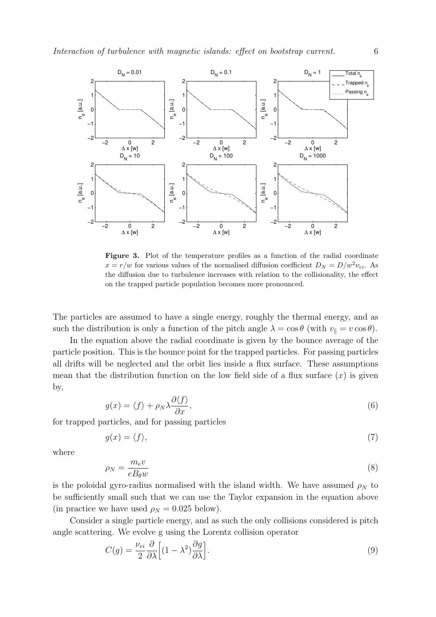

Figure 3. Plot of the temperature profiles as a function of the radial coordinate  $x = r/w$  for various values of the normalised diffusion coefficient  $D<sub>N</sub> = D/w<sup>2</sup> v<sub>ei</sub>$ . As the diffusion due to turbulence increases with relation to the collisionality, the effect on the trapped particle population becomes more pronounced.

The particles are assumed to have a single energy, roughly the thermal energy, and as such the distribution is only a function of the pitch angle  $\lambda = \cos \theta$  (with  $v_{\parallel} = v \cos \theta$ ).

In the equation above the radial coordinate is given by the bounce average of the particle position. This is the bounce point for the trapped particles. For passing particles all drifts will be neglected and the orbit lies inside a flux surface. These assumptions mean that the distribution function on the low field side of a flux surface  $(x)$  is given by,

$$
g(x) = \langle f \rangle + \rho_N \lambda \frac{\partial \langle f \rangle}{\partial x},\tag{6}
$$

for trapped particles, and for passing particles

$$
g(x) = \langle f \rangle,\tag{7}
$$

where

$$
\rho_N = \frac{m_e v}{e B_\theta w} \tag{8}
$$

is the poloidal gyro-radius normalised with the island width. We have assumed  $\rho_N$  to be sufficiently small such that we can use the Taylor expansion in the equation above (in practice we have used  $\rho_N = 0.025$  below).

Consider a single particle energy, and as such the only collisions considered is pitch angle scattering. We evolve g using the Lorentz collision operator

$$
C(g) = \frac{\nu_{ei}}{2} \frac{\partial}{\partial \lambda} \left[ (1 - \lambda^2) \frac{\partial g}{\partial \lambda} \right].
$$
\n(9)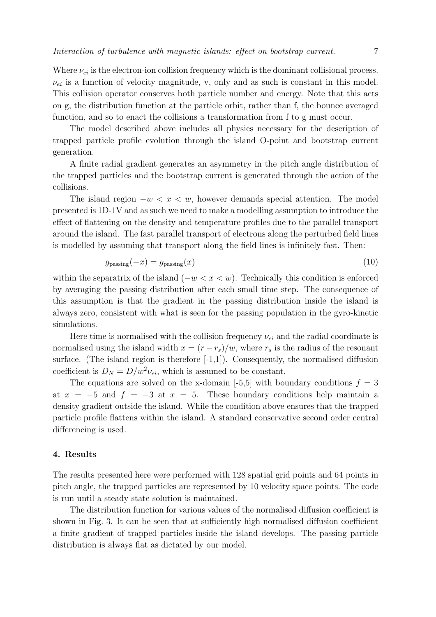Where  $\nu_{ei}$  is the electron-ion collision frequency which is the dominant collisional process.  $\nu_{ei}$  is a function of velocity magnitude, v, only and as such is constant in this model. This collision operator conserves both particle number and energy. Note that this acts on g, the distribution function at the particle orbit, rather than f, the bounce averaged function, and so to enact the collisions a transformation from f to g must occur.

The model described above includes all physics necessary for the description of trapped particle profile evolution through the island O-point and bootstrap current generation.

A finite radial gradient generates an asymmetry in the pitch angle distribution of the trapped particles and the bootstrap current is generated through the action of the collisions.

The island region  $-w < x < w$ , however demands special attention. The model presented is 1D-1V and as such we need to make a modelling assumption to introduce the effect of flattening on the density and temperature profiles due to the parallel transport around the island. The fast parallel transport of electrons along the perturbed field lines is modelled by assuming that transport along the field lines is infinitely fast. Then:

$$
g_{\text{passing}}(-x) = g_{\text{passing}}(x) \tag{10}
$$

within the separatrix of the island  $(-w < x < w)$ . Technically this condition is enforced by averaging the passing distribution after each small time step. The consequence of this assumption is that the gradient in the passing distribution inside the island is always zero, consistent with what is seen for the passing population in the gyro-kinetic simulations.

Here time is normalised with the collision frequency  $\nu_{ei}$  and the radial coordinate is normalised using the island width  $x = (r - r_s)/w$ , where  $r_s$  is the radius of the resonant surface. (The island region is therefore  $[-1,1]$ ). Consequently, the normalised diffusion coefficient is  $D_N = D/w^2 \nu_{ei}$ , which is assumed to be constant.

The equations are solved on the x-domain [-5,5] with boundary conditions  $f = 3$ at  $x = -5$  and  $f = -3$  at  $x = 5$ . These boundary conditions help maintain a density gradient outside the island. While the condition above ensures that the trapped particle profile flattens within the island. A standard conservative second order central differencing is used.

### 4. Results

The results presented here were performed with 128 spatial grid points and 64 points in pitch angle, the trapped particles are represented by 10 velocity space points. The code is run until a steady state solution is maintained.

The distribution function for various values of the normalised diffusion coefficient is shown in Fig. 3. It can be seen that at sufficiently high normalised diffusion coefficient a finite gradient of trapped particles inside the island develops. The passing particle distribution is always flat as dictated by our model.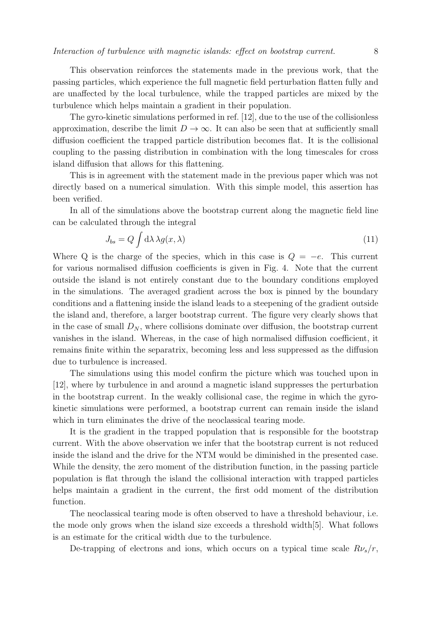This observation reinforces the statements made in the previous work, that the passing particles, which experience the full magnetic field perturbation flatten fully and are unaffected by the local turbulence, while the trapped particles are mixed by the turbulence which helps maintain a gradient in their population.

The gyro-kinetic simulations performed in ref. [12], due to the use of the collisionless approximation, describe the limit  $D \to \infty$ . It can also be seen that at sufficiently small diffusion coefficient the trapped particle distribution becomes flat. It is the collisional coupling to the passing distribution in combination with the long timescales for cross island diffusion that allows for this flattening.

This is in agreement with the statement made in the previous paper which was not directly based on a numerical simulation. With this simple model, this assertion has been verified.

In all of the simulations above the bootstrap current along the magnetic field line can be calculated through the integral

$$
J_{bs} = Q \int d\lambda \,\lambda g(x,\lambda) \tag{11}
$$

Where Q is the charge of the species, which in this case is  $Q = -e$ . This current for various normalised diffusion coefficients is given in Fig. 4. Note that the current outside the island is not entirely constant due to the boundary conditions employed in the simulations. The averaged gradient across the box is pinned by the boundary conditions and a flattening inside the island leads to a steepening of the gradient outside the island and, therefore, a larger bootstrap current. The figure very clearly shows that in the case of small  $D_N$ , where collisions dominate over diffusion, the bootstrap current vanishes in the island. Whereas, in the case of high normalised diffusion coefficient, it remains finite within the separatrix, becoming less and less suppressed as the diffusion due to turbulence is increased.

The simulations using this model confirm the picture which was touched upon in [12], where by turbulence in and around a magnetic island suppresses the perturbation in the bootstrap current. In the weakly collisional case, the regime in which the gyrokinetic simulations were performed, a bootstrap current can remain inside the island which in turn eliminates the drive of the neoclassical tearing mode.

It is the gradient in the trapped population that is responsible for the bootstrap current. With the above observation we infer that the bootstrap current is not reduced inside the island and the drive for the NTM would be diminished in the presented case. While the density, the zero moment of the distribution function, in the passing particle population is flat through the island the collisional interaction with trapped particles helps maintain a gradient in the current, the first odd moment of the distribution function.

The neoclassical tearing mode is often observed to have a threshold behaviour, i.e. the mode only grows when the island size exceeds a threshold width[5]. What follows is an estimate for the critical width due to the turbulence.

De-trapping of electrons and ions, which occurs on a typical time scale  $R\nu_s/r$ ,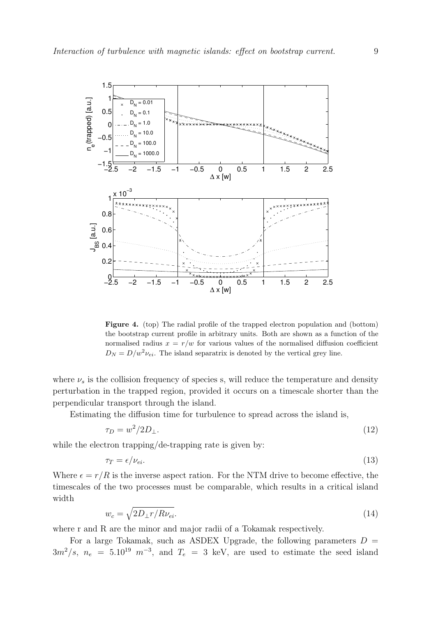

Figure 4. (top) The radial profile of the trapped electron population and (bottom) the bootstrap current profile in arbitrary units. Both are shown as a function of the normalised radius  $x = r/w$  for various values of the normalised diffusion coefficient  $D_N = D/w^2 \nu_{ei}$ . The island separatrix is denoted by the vertical grey line.

where  $\nu_s$  is the collision frequency of species s, will reduce the temperature and density perturbation in the trapped region, provided it occurs on a timescale shorter than the perpendicular transport through the island.

Estimating the diffusion time for turbulence to spread across the island is,

$$
\tau_D = w^2 / 2D_\perp. \tag{12}
$$

while the electron trapping/de-trapping rate is given by:

$$
\tau_T = \epsilon / \nu_{ei}. \tag{13}
$$

Where  $\epsilon = r/R$  is the inverse aspect ration. For the NTM drive to become effective, the timescales of the two processes must be comparable, which results in a critical island width

$$
w_c = \sqrt{2D_{\perp}r/R\nu_{ei}}.\tag{14}
$$

where r and R are the minor and major radii of a Tokamak respectively.

For a large Tokamak, such as ASDEX Upgrade, the following parameters  $D =$  $3m^2/s$ ,  $n_e = 5.10^{19} \text{ m}^{-3}$ , and  $T_e = 3 \text{ keV}$ , are used to estimate the seed island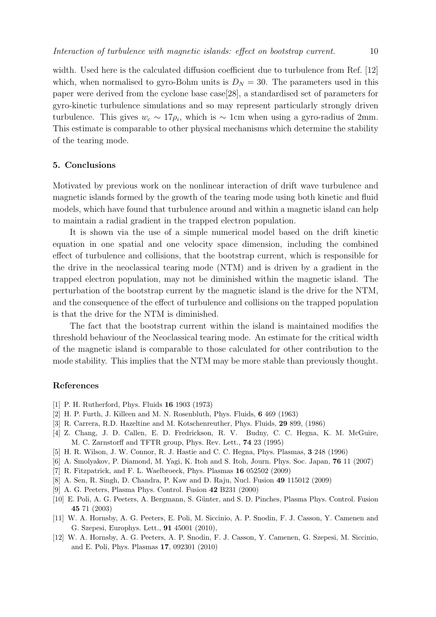width. Used here is the calculated diffusion coefficient due to turbulence from Ref. [12] which, when normalised to gyro-Bohm units is  $D<sub>N</sub> = 30$ . The parameters used in this paper were derived from the cyclone base case[28], a standardised set of parameters for gyro-kinetic turbulence simulations and so may represent particularly strongly driven turbulence. This gives  $w_c \sim 17\rho_i$ , which is ~ 1cm when using a gyro-radius of 2mm. This estimate is comparable to other physical mechanisms which determine the stability of the tearing mode.

## 5. Conclusions

Motivated by previous work on the nonlinear interaction of drift wave turbulence and magnetic islands formed by the growth of the tearing mode using both kinetic and fluid models, which have found that turbulence around and within a magnetic island can help to maintain a radial gradient in the trapped electron population.

It is shown via the use of a simple numerical model based on the drift kinetic equation in one spatial and one velocity space dimension, including the combined effect of turbulence and collisions, that the bootstrap current, which is responsible for the drive in the neoclassical tearing mode (NTM) and is driven by a gradient in the trapped electron population, may not be diminished within the magnetic island. The perturbation of the bootstrap current by the magnetic island is the drive for the NTM, and the consequence of the effect of turbulence and collisions on the trapped population is that the drive for the NTM is diminished.

The fact that the bootstrap current within the island is maintained modifies the threshold behaviour of the Neoclassical tearing mode. An estimate for the critical width of the magnetic island is comparable to those calculated for other contribution to the mode stability. This implies that the NTM may be more stable than previously thought.

### References

- [1] P. H. Rutherford, Phys. Fluids 16 1903 (1973)
- [2] H. P. Furth, J. Killeen and M. N. Rosenbluth, Phys. Fluids, 6 469 (1963)
- [3] R. Carrera, R.D. Hazeltine and M. Kotschenreuther, Phys. Fluids, 29 899, (1986)
- [4] Z. Chang, J. D. Callen, E. D. Fredrickson, R. V. Budny, C. C. Hegna, K. M. McGuire, M. C. Zarnstorff and TFTR group, Phys. Rev. Lett., 74 23 (1995)
- [5] H. R. Wilson, J. W. Connor, R. J. Hastie and C. C. Hegna, Phys. Plasmas, 3 248 (1996)
- [6] A. Smolyakov, P. Diamond, M. Yagi, K. Itoh and S. Itoh, Journ. Phys. Soc. Japan, 76 11 (2007)
- [7] R. Fitzpatrick, and F. L. Waelbroeck, Phys. Plasmas 16 052502 (2009)
- [8] A. Sen, R. Singh, D. Chandra, P. Kaw and D. Raju, Nucl. Fusion 49 115012 (2009)
- [9] A. G. Peeters, Plasma Phys. Control. Fusion 42 B231 (2000)
- [10] E. Poli, A. G. Peeters, A. Bergmann, S. Günter, and S. D. Pinches, Plasma Phys. Control. Fusion 45 71 (2003)
- [11] W. A. Hornsby, A. G. Peeters, E. Poli, M. Siccinio, A. P. Snodin, F. J. Casson, Y. Camenen and G. Szepesi, Europhys. Lett., 91 45001 (2010),
- [12] W. A. Hornsby, A. G. Peeters, A. P. Snodin, F. J. Casson, Y. Camenen, G. Szepesi, M. Siccinio, and E. Poli, Phys. Plasmas 17, 092301 (2010)